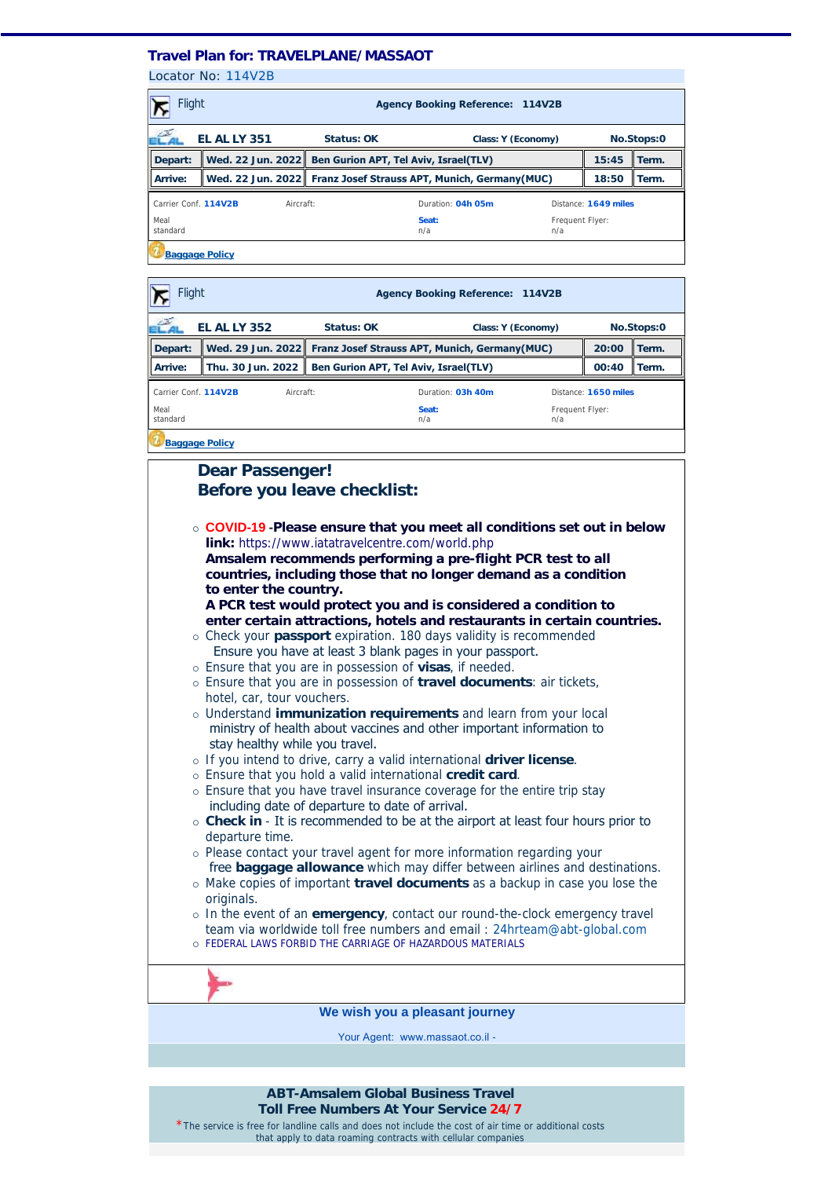## **Travel Plan for: TRAVELPLANE/MASSAOT**

Locator No: 114V2B

| <b>Flight</b><br><b>Agency Booking Reference: 114V2B</b> |                     |                                                                   |                                                         |  |                      |       |  |  |  |  |
|----------------------------------------------------------|---------------------|-------------------------------------------------------------------|---------------------------------------------------------|--|----------------------|-------|--|--|--|--|
| z                                                        | <b>EL AL LY 351</b> | Status: OK<br>Class: Y (Economy)                                  |                                                         |  | No.Stops:0           |       |  |  |  |  |
| Depart:                                                  |                     |                                                                   | Wed. 22 Jun. 2022 Ben Gurion APT, Tel Aviv, Israel(TLV) |  |                      | Term. |  |  |  |  |
| Arrive:                                                  |                     | Wed. 22 Jun. 2022   Franz Josef Strauss APT, Munich, Germany(MUC) |                                                         |  | 18:50                | Term. |  |  |  |  |
| Carrier Conf. 114V2B<br>Aircraft:                        |                     |                                                                   | Duration: 04h 05m                                       |  | Distance: 1649 miles |       |  |  |  |  |
| Meal<br>standard                                         |                     | Seat:<br>n/a                                                      | Frequent Flyer:<br>n/a                                  |  |                      |       |  |  |  |  |
| <b>Baggage Policy</b>                                    |                     |                                                                   |                                                         |  |                      |       |  |  |  |  |

| <b>Flight</b>                     |                   | <b>Agency Booking Reference: 114V2B</b>                         |                   |                        |                      |       |  |
|-----------------------------------|-------------------|-----------------------------------------------------------------|-------------------|------------------------|----------------------|-------|--|
| <b>EL AL LY 352</b>               |                   | Status: OK<br>Class: Y (Economy)                                |                   | No.Stops:0             |                      |       |  |
| Depart:                           |                   | Wed. 29 Jun. 2022 Franz Josef Strauss APT, Munich, Germany(MUC) |                   |                        | 20:00                | Term. |  |
| Arrive:                           | Thu. 30 Jun. 2022 | Ben Gurion APT, Tel Aviv, Israel(TLV)                           | 00:40             | Term.                  |                      |       |  |
| Carrier Conf. 114V2B<br>Aircraft: |                   |                                                                 | Duration: 03h 40m |                        | Distance: 1650 miles |       |  |
| Meal<br>standard                  |                   |                                                                 | Seat:<br>n/a      | Frequent Flyer:<br>n/a |                      |       |  |
| <b>Baggage Policy</b>             |                   |                                                                 |                   |                        |                      |       |  |

## **Dear Passenger! Before you leave checklist:** ¡ **COVID-19 -Please ensure that you meet all conditions set out in below link:** https://www.iatatravelcentre.com/world.php **Amsalem recommends performing a pre-flight PCR test to all countries, including those that no longer demand as a condition to enter the country. A PCR test would protect you and is considered a condition to enter certain attractions, hotels and restaurants in certain countries.** ¡ Check your **passport** expiration. 180 days validity is recommended Ensure you have at least 3 blank pages in your passport. ¡ Ensure that you are in possession of **visas**, if needed. ¡ Ensure that you are in possession of **travel documents**: air tickets, hotel, car, tour vouchers. ¡ Understand **immunization requirements** and learn from your local ministry of health about vaccines and other important information to stay healthy while you travel. ¡ If you intend to drive, carry a valid international **driver license**. ¡ Ensure that you hold a valid international **credit card**. o Ensure that you have travel insurance coverage for the entire trip stay including date of departure to date of arrival. ¡ **Check in** - It is recommended to be at the airport at least four hours prior to departure time. ¡ Please contact your travel agent for more information regarding your free **baggage allowance** which may differ between airlines and destinations. ¡ Make copies of important **travel documents** as a backup in case you lose the originals ¡ In the event of an **emergency**, contact our round-the-clock emergency travel team via worldwide toll free numbers and email : 24hrteam@abt-global.com o FEDERAL LAWS FORBID THE CARRIAGE OF HAZARDOUS MATERIALS **We wish you a pleasant journey**

Your Agent: www.massaot.co.il -

**ABT-Amsalem Global Business Travel Toll Free Numbers At Your Service 24/7**

\*The service is free for landline calls and does not include the cost of air time or additional costs that apply to data roaming contracts with cellular companies